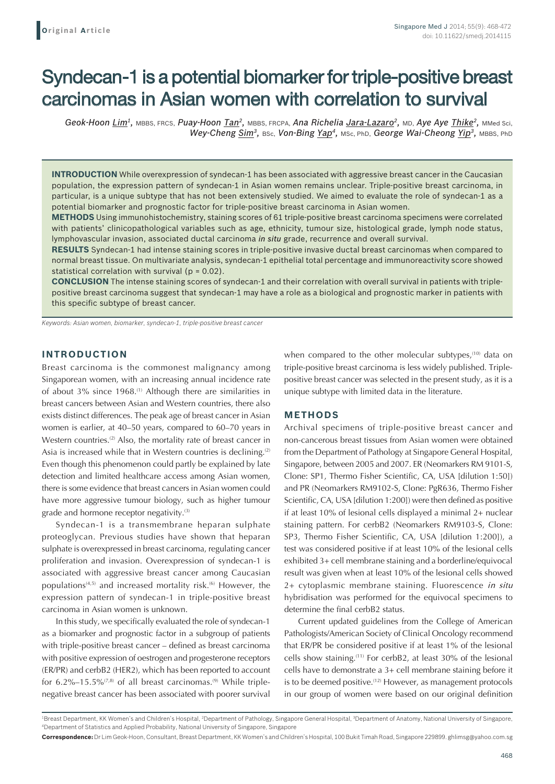# Syndecan-1 is a potential biomarker for triple-positive breast carcinomas in Asian women with correlation to survival

*Geok-Hoon Lim1,* MBBS, FRCS, *Puay-Hoon Tan2,* MBBS, FRCPA, *Ana Richelia Jara-Lazaro2,* MD, *Aye Aye Thike2,* MMed Sci, *Wey-Cheng Sim3,* BSc, *Von-Bing Yap4,* MSc, PhD, *George Wai-Cheong Yip3,* MBBS, PhD

**INTRODUCTION** While overexpression of syndecan-1 has been associated with aggressive breast cancer in the Caucasian population, the expression pattern of syndecan-1 in Asian women remains unclear. Triple-positive breast carcinoma, in particular, is a unique subtype that has not been extensively studied. We aimed to evaluate the role of syndecan-1 as a potential biomarker and prognostic factor for triple-positive breast carcinoma in Asian women.

**METHODS** Using immunohistochemistry, staining scores of 61 triple-positive breast carcinoma specimens were correlated with patients' clinicopathological variables such as age, ethnicity, tumour size, histological grade, lymph node status, lymphovascular invasion, associated ductal carcinoma *in situ* grade, recurrence and overall survival.

**RESULTS** Syndecan-1 had intense staining scores in triple-positive invasive ductal breast carcinomas when compared to normal breast tissue. On multivariate analysis, syndecan-1 epithelial total percentage and immunoreactivity score showed statistical correlation with survival ( $p = 0.02$ ).

**CONCLUSION** The intense staining scores of syndecan-1 and their correlation with overall survival in patients with triplepositive breast carcinoma suggest that syndecan-1 may have a role as a biological and prognostic marker in patients with this specific subtype of breast cancer.

*Keywords: Asian women, biomarker, syndecan-1, triple-positive breast cancer*

## **INTRODUCTION**

Breast carcinoma is the commonest malignancy among Singaporean women, with an increasing annual incidence rate of about 3% since 1968.<sup>(1)</sup> Although there are similarities in breast cancers between Asian and Western countries, there also exists distinct differences. The peak age of breast cancer in Asian women is earlier, at 40–50 years, compared to 60–70 years in Western countries.<sup>(2)</sup> Also, the mortality rate of breast cancer in Asia is increased while that in Western countries is declining.<sup>(2)</sup> Even though this phenomenon could partly be explained by late detection and limited healthcare access among Asian women, there is some evidence that breast cancers in Asian women could have more aggressive tumour biology, such as higher tumour grade and hormone receptor negativity.<sup>(3)</sup>

Syndecan-1 is a transmembrane heparan sulphate proteoglycan. Previous studies have shown that heparan sulphate is overexpressed in breast carcinoma, regulating cancer proliferation and invasion. Overexpression of syndecan-1 is associated with aggressive breast cancer among Caucasian populations<sup> $(4,5)$ </sup> and increased mortality risk.<sup> $(6)$ </sup> However, the expression pattern of syndecan-1 in triple-positive breast carcinoma in Asian women is unknown.

In this study, we specifically evaluated the role of syndecan-1 as a biomarker and prognostic factor in a subgroup of patients with triple-positive breast cancer – defined as breast carcinoma with positive expression of oestrogen and progesterone receptors (ER/PR) and cerbB2 (HER2), which has been reported to account for  $6.2\% - 15.5\%$ <sup> $(7,8)$ </sup> of all breast carcinomas.<sup>(9)</sup> While triplenegative breast cancer has been associated with poorer survival when compared to the other molecular subtypes,<sup>(10)</sup> data on triple-positive breast carcinoma is less widely published. Triplepositive breast cancer was selected in the present study, as it is a unique subtype with limited data in the literature.

# **METHODS**

Archival specimens of triple-positive breast cancer and non-cancerous breast tissues from Asian women were obtained from the Department of Pathology at Singapore General Hospital, Singapore, between 2005 and 2007. ER (Neomarkers RM 9101-S, Clone: SP1, Thermo Fisher Scientific, CA, USA [dilution 1:50]) and PR (Neomarkers RM9102-S, Clone: PgR636, Thermo Fisher Scientific, CA, USA [dilution 1:200]) were then defined as positive if at least 10% of lesional cells displayed a minimal 2+ nuclear staining pattern. For cerbB2 (Neomarkers RM9103-S, Clone: SP3, Thermo Fisher Scientific, CA, USA [dilution 1:200]), a test was considered positive if at least 10% of the lesional cells exhibited 3+ cell membrane staining and a borderline/equivocal result was given when at least 10% of the lesional cells showed 2+ cytoplasmic membrane staining. Fluorescence *in situ* hybridisation was performed for the equivocal specimens to determine the final cerbB2 status.

Current updated guidelines from the College of American Pathologists/American Society of Clinical Oncology recommend that ER/PR be considered positive if at least 1% of the lesional cells show staining.(11) For cerbB2, at least 30% of the lesional cells have to demonstrate a 3+ cell membrane staining before it is to be deemed positive.<sup>(12)</sup> However, as management protocols in our group of women were based on our original definition

<sup>1</sup>Breast Department, KK Women's and Children's Hospital, <sup>2</sup>Department of Pathology, Singapore General Hospital, <sup>3</sup>Department of Anatomy, National University of Singapore, 4 Department of Statistics and Applied Probability, National University of Singapore, Singapore

**Correspondence:** Dr Lim Geok-Hoon, Consultant, Breast Department, KK Women's and Children's Hospital, 100 Bukit Timah Road, Singapore 229899. ghlimsg@yahoo.com.sg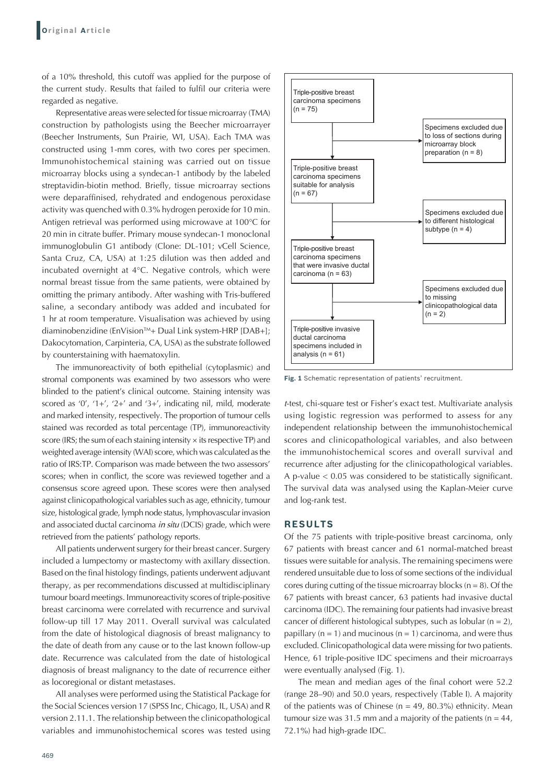of a 10% threshold, this cutoff was applied for the purpose of the current study. Results that failed to fulfil our criteria were regarded as negative.

Representative areas were selected for tissue microarray (TMA) construction by pathologists using the Beecher microarrayer (Beecher Instruments, Sun Prairie, WI, USA). Each TMA was constructed using 1-mm cores, with two cores per specimen. Immunohistochemical staining was carried out on tissue microarray blocks using a syndecan-1 antibody by the labeled streptavidin-biotin method. Briefly, tissue microarray sections were deparaffinised, rehydrated and endogenous peroxidase activity was quenched with 0.3% hydrogen peroxide for 10 min. Antigen retrieval was performed using microwave at 100°C for 20 min in citrate buffer. Primary mouse syndecan-1 monoclonal immunoglobulin G1 antibody (Clone: DL-101; vCell Science, Santa Cruz, CA, USA) at 1:25 dilution was then added and incubated overnight at 4°C. Negative controls, which were normal breast tissue from the same patients, were obtained by omitting the primary antibody. After washing with Tris-buffered saline, a secondary antibody was added and incubated for 1 hr at room temperature. Visualisation was achieved by using diaminobenzidine (EnVision™+ Dual Link system-HRP [DAB+]; Dakocytomation, Carpinteria, CA, USA) as the substrate followed by counterstaining with haematoxylin.

The immunoreactivity of both epithelial (cytoplasmic) and stromal components was examined by two assessors who were blinded to the patient's clinical outcome. Staining intensity was scored as '0', '1+', '2+' and '3+', indicating nil, mild, moderate and marked intensity, respectively. The proportion of tumour cells stained was recorded as total percentage (TP), immunoreactivity score (IRS; the sum of each staining intensity  $\times$  its respective TP) and weighted average intensity (WAI) score, which was calculated as the ratio of IRS:TP. Comparison was made between the two assessors' scores; when in conflict, the score was reviewed together and a consensus score agreed upon. These scores were then analysed against clinicopathological variables such as age, ethnicity, tumour size, histological grade, lymph node status, lymphovascular invasion and associated ductal carcinoma *in situ* (DCIS) grade, which were retrieved from the patients' pathology reports.

All patients underwent surgery for their breast cancer. Surgery included a lumpectomy or mastectomy with axillary dissection. Based on the final histology findings, patients underwent adjuvant therapy, as per recommendations discussed at multidisciplinary tumour board meetings. Immunoreactivity scores of triple-positive breast carcinoma were correlated with recurrence and survival follow-up till 17 May 2011. Overall survival was calculated from the date of histological diagnosis of breast malignancy to the date of death from any cause or to the last known follow-up date. Recurrence was calculated from the date of histological diagnosis of breast malignancy to the date of recurrence either as locoregional or distant metastases.

All analyses were performed using the Statistical Package for the Social Sciences version 17 (SPSS Inc, Chicago, IL, USA) and R version 2.11.1. The relationship between the clinicopathological variables and immunohistochemical scores was tested using



**Fig. 1** Schematic representation of patients' recruitment.

*t*-test, chi-square test or Fisher's exact test. Multivariate analysis using logistic regression was performed to assess for any independent relationship between the immunohistochemical scores and clinicopathological variables, and also between the immunohistochemical scores and overall survival and recurrence after adjusting for the clinicopathological variables. A p-value < 0.05 was considered to be statistically significant. The survival data was analysed using the Kaplan-Meier curve and log-rank test.

#### **RESULTS**

Of the 75 patients with triple-positive breast carcinoma, only 67 patients with breast cancer and 61 normal-matched breast tissues were suitable for analysis. The remaining specimens were rendered unsuitable due to loss of some sections of the individual cores during cutting of the tissue microarray blocks ( $n = 8$ ). Of the 67 patients with breast cancer, 63 patients had invasive ductal carcinoma (IDC). The remaining four patients had invasive breast cancer of different histological subtypes, such as lobular  $(n = 2)$ , papillary ( $n = 1$ ) and mucinous ( $n = 1$ ) carcinoma, and were thus excluded. Clinicopathological data were missing for two patients. Hence, 61 triple-positive IDC specimens and their microarrays were eventually analysed (Fig. 1).

The mean and median ages of the final cohort were 52.2 (range 28–90) and 50.0 years, respectively (Table I). A majority of the patients was of Chinese ( $n = 49$ , 80.3%) ethnicity. Mean tumour size was 31.5 mm and a majority of the patients ( $n = 44$ , 72.1%) had high-grade IDC.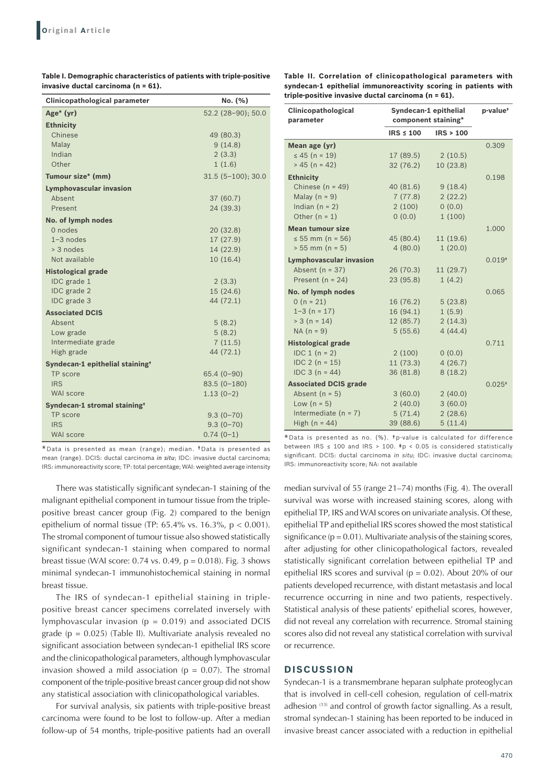| Table I. Demographic characteristics of patients with triple-positive |
|-----------------------------------------------------------------------|
| invasive ductal carcinoma (n = 61).                                   |

**Table II. Correlation of clinicopathological parameters with syndecan‑1 epithelial immunoreactivity scoring in patients with triple‑positive invasive ductal carcinoma (n = 61).**

| <b>Clinicopathological parameter</b>        | No. (%)             |  |
|---------------------------------------------|---------------------|--|
| Age* (yr)                                   | 52.2 (28-90); 50.0  |  |
| <b>Ethnicity</b>                            |                     |  |
| Chinese                                     | 49 (80.3)           |  |
| Malav                                       | 9(14.8)             |  |
| Indian                                      | 2(3.3)              |  |
| Other                                       | 1(1.6)              |  |
| Tumour size* (mm)                           | $31.5(5-100); 30.0$ |  |
| <b>Lymphovascular invasion</b>              |                     |  |
| Absent                                      | 37(60.7)            |  |
| Present                                     | 24 (39.3)           |  |
| No. of lymph nodes                          |                     |  |
| 0 nodes                                     | 20(32.8)            |  |
| $1-3$ nodes                                 | 17(27.9)            |  |
| > 3 nodes                                   | 14 (22.9)           |  |
| Not available                               | 10(16.4)            |  |
| <b>Histological grade</b>                   |                     |  |
| IDC grade 1                                 | 2(3.3)              |  |
| IDC grade 2                                 | 15(24.6)            |  |
| IDC grade 3                                 | 44 (72.1)           |  |
| <b>Associated DCIS</b>                      |                     |  |
| Absent                                      | 5(8.2)              |  |
| Low grade                                   | 5(8.2)              |  |
| Intermediate grade                          | 7(11.5)             |  |
| High grade                                  | 44 (72.1)           |  |
| Syndecan-1 epithelial staining <sup>+</sup> |                     |  |
| TP score                                    | $65.4(0-90)$        |  |
| <b>IRS</b>                                  | $83.5(0-180)$       |  |
| WAI score                                   | $1.13(0-2)$         |  |
| Syndecan-1 stromal staining <sup>+</sup>    |                     |  |
| TP score                                    | $9.3(0 - 70)$       |  |
| <b>IRS</b>                                  | $9.3(0-70)$         |  |
| <b>WAI</b> score                            | $0.74(0-1)$         |  |

\*Data is presented as mean (range); median. †Data is presented as mean (range). DCIS: ductal carcinoma *in situ*; IDC: invasive ductal carcinoma; IRS: immunoreactivity score; TP: total percentage; WAI: weighted average intensity

There was statistically significant syndecan-1 staining of the malignant epithelial component in tumour tissue from the triplepositive breast cancer group (Fig. 2) compared to the benign epithelium of normal tissue (TP:  $65.4\%$  vs.  $16.3\%$ ,  $p < 0.001$ ). The stromal component of tumour tissue also showed statistically significant syndecan-1 staining when compared to normal breast tissue (WAI score: 0.74 vs. 0.49,  $p = 0.018$ ). Fig. 3 shows minimal syndecan-1 immunohistochemical staining in normal breast tissue.

The IRS of syndecan-1 epithelial staining in triplepositive breast cancer specimens correlated inversely with lymphovascular invasion ( $p = 0.019$ ) and associated DCIS grade ( $p = 0.025$ ) (Table II). Multivariate analysis revealed no significant association between syndecan-1 epithelial IRS score and the clinicopathological parameters, although lymphovascular invasion showed a mild association ( $p = 0.07$ ). The stromal component of the triple-positive breast cancer group did not show any statistical association with clinicopathological variables.

For survival analysis, six patients with triple-positive breast carcinoma were found to be lost to follow-up. After a median follow-up of 54 months, triple-positive patients had an overall

| Clinicopathological<br>parameter | Syndecan-1 epithelial<br>component staining* |           | p-value <sup>+</sup> |
|----------------------------------|----------------------------------------------|-----------|----------------------|
|                                  | $IRS \leq 100$                               | IRS > 100 |                      |
| Mean age (yr)                    |                                              |           | 0.309                |
| $\leq 45$ (n = 19)               | 17 (89.5)                                    | 2(10.5)   |                      |
| $> 45$ (n = 42)                  | 32(76.2)                                     | 10(23.8)  |                      |
| <b>Ethnicity</b>                 |                                              |           | 0.198                |
| Chinese $(n = 49)$               | 40(81.6)                                     | 9(18.4)   |                      |
| Malay $(n = 9)$                  | 7(77.8)                                      | 2(22.2)   |                      |
| Indian $(n = 2)$                 | 2(100)                                       | 0(0.0)    |                      |
| Other $(n = 1)$                  | (0.0)                                        | 1(100)    |                      |
| <b>Mean tumour size</b>          |                                              |           | 1.000                |
| ≤ 55 mm (n = 56)                 | 45 (80.4)                                    | 11 (19.6) |                      |
| $> 55$ mm (n = 5)                | 4(80.0)                                      | 1(20.0)   |                      |
| <b>Lymphovascular invasion</b>   |                                              |           | $0.019*$             |
| Absent $(n = 37)$                | 26 (70.3)                                    | 11(29.7)  |                      |
| Present ( $n = 24$ )             | 23(95.8)                                     | 1(4.2)    |                      |
| No. of lymph nodes               |                                              |           | 0.065                |
| $0 (n = 21)$                     | 16 (76.2)                                    | 5(23.8)   |                      |
| $1 - 3$ (n = 17)                 | 16 (94.1)                                    | 1(5.9)    |                      |
| $> 3 (n = 14)$                   | 12(85.7)                                     | 2(14.3)   |                      |
| $NA(n = 9)$                      | 5(55.6)                                      | 4(44.4)   |                      |
| <b>Histological grade</b>        |                                              |           | 0.711                |
| $IDC 1 (n = 2)$                  | 2(100)                                       | 0(0.0)    |                      |
| $IDC 2 (n = 15)$                 | 11(73.3)                                     | 4(26.7)   |                      |
| $IDC 3 (n = 44)$                 | 36 (81.8)                                    | 8(18.2)   |                      |
| <b>Associated DCIS grade</b>     |                                              |           | $0.025*$             |
| Absent $(n = 5)$                 | 3(60.0)                                      | 2(40.0)   |                      |
| Low $(n = 5)$                    | 2(40.0)                                      | 3(60.0)   |                      |
| Intermediate $(n = 7)$           | 5(71.4)                                      | 2(28.6)   |                      |
| High $(n = 44)$                  | 39 (88.6)                                    | 5(11.4)   |                      |

 $*$ Data is presented as no.  $(\%)$ ,  $*$  to-value is calculated for difference between IRS  $\leq$  100 and IRS > 100.  $\text{*p}$  < 0.05 is considered statistically significant. DCIS: ductal carcinoma in situ; IDC: invasive ductal carcinoma; IRS: immunoreactivity score; NA: not available

median survival of 55 (range 21–74) months (Fig. 4). The overall survival was worse with increased staining scores, along with epithelial TP, IRS and WAI scores on univariate analysis. Of these, epithelial TP and epithelial IRS scores showed the most statistical significance  $(p = 0.01)$ . Multivariate analysis of the staining scores, after adjusting for other clinicopathological factors, revealed statistically significant correlation between epithelial TP and epithelial IRS scores and survival ( $p = 0.02$ ). About 20% of our patients developed recurrence, with distant metastasis and local recurrence occurring in nine and two patients, respectively. Statistical analysis of these patients' epithelial scores, however, did not reveal any correlation with recurrence. Stromal staining scores also did not reveal any statistical correlation with survival or recurrence.

### **DISCUSSION**

Syndecan-1 is a transmembrane heparan sulphate proteoglycan that is involved in cell-cell cohesion, regulation of cell-matrix adhesion (13) and control of growth factor signalling. As a result, stromal syndecan-1 staining has been reported to be induced in invasive breast cancer associated with a reduction in epithelial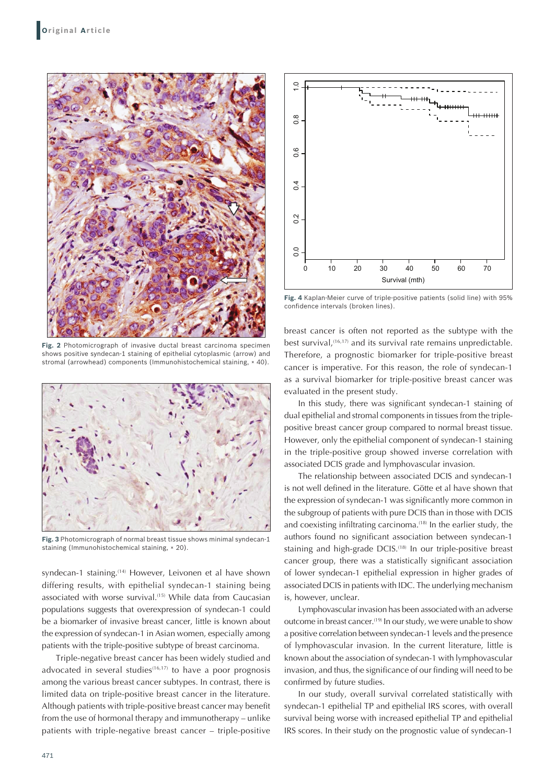

**Fig. 2** Photomicrograph of invasive ductal breast carcinoma specimen shows positive syndecan-1 staining of epithelial cytoplasmic (arrow) and stromal (arrowhead) components (Immunohistochemical staining, × 40).



**Fig. 3** Photomicrograph of normal breast tissue shows minimal syndecan-1 staining (Immunohistochemical staining, × 20).

syndecan-1 staining.<sup>(14)</sup> However, Leivonen et al have shown differing results, with epithelial syndecan-1 staining being associated with worse survival.<sup>(15)</sup> While data from Caucasian populations suggests that overexpression of syndecan-1 could be a biomarker of invasive breast cancer, little is known about the expression of syndecan-1 in Asian women, especially among patients with the triple-positive subtype of breast carcinoma.

Triple-negative breast cancer has been widely studied and advocated in several studies $(16,17)$  to have a poor prognosis among the various breast cancer subtypes. In contrast, there is limited data on triple-positive breast cancer in the literature. Although patients with triple-positive breast cancer may benefit from the use of hormonal therapy and immunotherapy – unlike patients with triple-negative breast cancer – triple-positive



**Fig. 4** Kaplan-Meier curve of triple-positive patients (solid line) with 95% confidence intervals (broken lines).

breast cancer is often not reported as the subtype with the best survival,<sup>(16,17)</sup> and its survival rate remains unpredictable. Therefore, a prognostic biomarker for triple-positive breast cancer is imperative. For this reason, the role of syndecan-1 as a survival biomarker for triple-positive breast cancer was evaluated in the present study.

In this study, there was significant syndecan-1 staining of dual epithelial and stromal components in tissues from the triplepositive breast cancer group compared to normal breast tissue. However, only the epithelial component of syndecan-1 staining in the triple-positive group showed inverse correlation with associated DCIS grade and lymphovascular invasion.

The relationship between associated DCIS and syndecan-1 is not well defined in the literature. Götte et al have shown that the expression of syndecan-1 was significantly more common in the subgroup of patients with pure DCIS than in those with DCIS and coexisting infiltrating carcinoma.<sup>(18)</sup> In the earlier study, the authors found no significant association between syndecan-1 staining and high-grade DCIS.<sup>(18)</sup> In our triple-positive breast cancer group, there was a statistically significant association of lower syndecan-1 epithelial expression in higher grades of associated DCIS in patients with IDC. The underlying mechanism is, however, unclear.

Lymphovascular invasion has been associated with an adverse outcome in breast cancer.<sup>(19)</sup> In our study, we were unable to show a positive correlation between syndecan-1 levels and the presence of lymphovascular invasion. In the current literature, little is known about the association of syndecan-1 with lymphovascular invasion, and thus, the significance of our finding will need to be confirmed by future studies.

In our study, overall survival correlated statistically with syndecan-1 epithelial TP and epithelial IRS scores, with overall survival being worse with increased epithelial TP and epithelial IRS scores. In their study on the prognostic value of syndecan-1